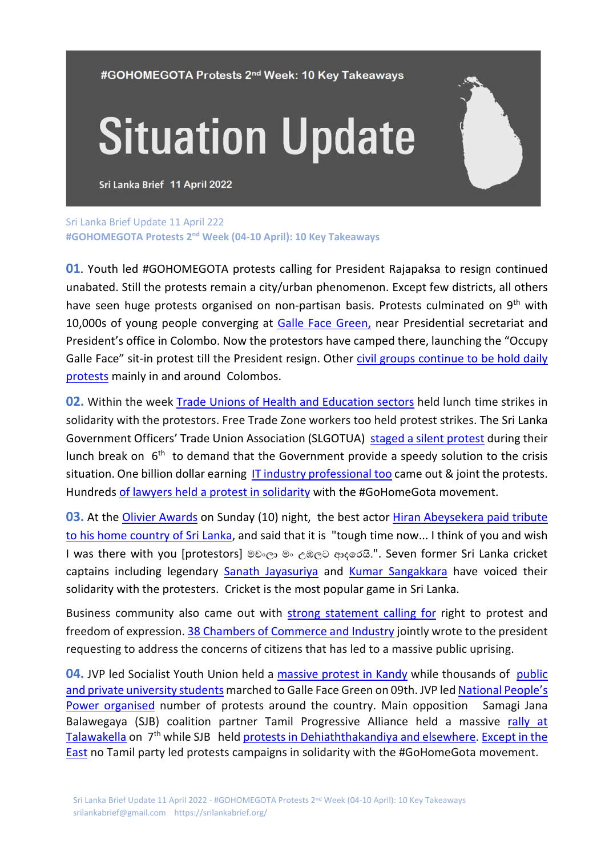#GOHOMEGOTA Protests 2<sup>nd</sup> Week: 10 Key Takeaways

## **Situation Update**

Sri Lanka Brief 11 April 2022

Sri Lanka Brief Update 11 April 222 **#GOHOMEGOTA Protests 2nd Week (04-10 April): 10 Key Takeaways** 

**01.** Youth led #GOHOMEGOTA protests calling for President Rajapaksa to resign continued unabated. Still the protests remain a city/urban phenomenon. Except few districts, all others have seen huge protests organised on non-partisan basis. Protests culminated on 9<sup>th</sup> with 10,000s of young people converging at Galle Face Green, near Presidential secretariat and President's office in Colombo. Now the protestors have camped there, launching the "Occupy Galle Face" sit-in protest till the President resign. Other civil groups continue to be hold daily protests mainly in and around Colombos.

**02.** Within the week Trade Unions of Health and Education sectors held lunch time strikes in solidarity with the protestors. Free Trade Zone workers too held protest strikes. The Sri Lanka Government Officers' Trade Union Association (SLGOTUA) staged a silent protest during their lunch break on  $6<sup>th</sup>$  to demand that the Government provide a speedy solution to the crisis situation. One billion dollar earning IT industry professional too came out & joint the protests. Hundreds of lawyers held a protest in solidarity with the #GoHomeGota movement.

**03.** At the Olivier Awards on Sunday (10) night, the best actor Hiran Abeysekera paid tribute to his home country of Sri Lanka, and said that it is "tough time now... I think of you and wish I was there with you [protestors] මචංලා මං උඹලට ආදරෙයි.". Seven former Sri Lanka cricket captains including legendary Sanath Jayasuriya and Kumar Sangakkara have voiced their solidarity with the protesters. Cricket is the most popular game in Sri Lanka.

Business community also came out with strong statement calling for right to protest and freedom of expression. 38 Chambers of Commerce and Industry jointly wrote to the president requesting to address the concerns of citizens that has led to a massive public uprising.

**04.** JVP led Socialist Youth Union held a massive protest in Kandy while thousands of public and private university students marched to Galle Face Green on 09th. JVP led National People's Power organised number of protests around the country. Main opposition Samagi Jana Balawegaya (SJB) coalition partner Tamil Progressive Alliance held a massive rally at Talawakella on  $7<sup>th</sup>$  while SJB held protests in Dehiaththakandiya and elsewhere. Except in the East no Tamil party led protests campaigns in solidarity with the #GoHomeGota movement.